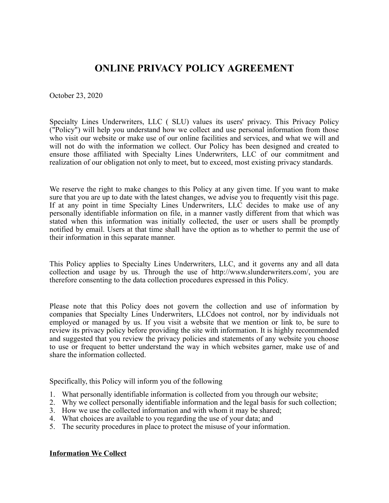# **ONLINE PRIVACY POLICY AGREEMENT**

October 23, 2020

Specialty Lines Underwriters, LLC ( SLU) values its users' privacy. This Privacy Policy ("Policy") will help you understand how we collect and use personal information from those who visit our website or make use of our online facilities and services, and what we will and will not do with the information we collect. Our Policy has been designed and created to ensure those affiliated with Specialty Lines Underwriters, LLC of our commitment and realization of our obligation not only to meet, but to exceed, most existing privacy standards.

We reserve the right to make changes to this Policy at any given time. If you want to make sure that you are up to date with the latest changes, we advise you to frequently visit this page. If at any point in time Specialty Lines Underwriters, LLC decides to make use of any personally identifiable information on file, in a manner vastly different from that which was stated when this information was initially collected, the user or users shall be promptly notified by email. Users at that time shall have the option as to whether to permit the use of their information in this separate manner.

This Policy applies to Specialty Lines Underwriters, LLC, and it governs any and all data collection and usage by us. Through the use of http://www.slunderwriters.com/, you are therefore consenting to the data collection procedures expressed in this Policy.

Please note that this Policy does not govern the collection and use of information by companies that Specialty Lines Underwriters, LLCdoes not control, nor by individuals not employed or managed by us. If you visit a website that we mention or link to, be sure to review its privacy policy before providing the site with information. It is highly recommended and suggested that you review the privacy policies and statements of any website you choose to use or frequent to better understand the way in which websites garner, make use of and share the information collected.

Specifically, this Policy will inform you of the following

- 1. What personally identifiable information is collected from you through our website;
- 2. Why we collect personally identifiable information and the legal basis for such collection;
- 3. How we use the collected information and with whom it may be shared;
- 4. What choices are available to you regarding the use of your data; and
- 5. The security procedures in place to protect the misuse of your information.

# **Information We Collect**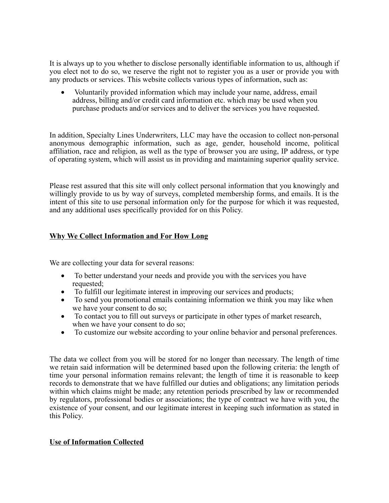It is always up to you whether to disclose personally identifiable information to us, although if you elect not to do so, we reserve the right not to register you as a user or provide you with any products or services. This website collects various types of information, such as:

· Voluntarily provided information which may include your name, address, email address, billing and/or credit card information etc. which may be used when you purchase products and/or services and to deliver the services you have requested.

In addition, Specialty Lines Underwriters, LLC may have the occasion to collect non-personal anonymous demographic information, such as age, gender, household income, political affiliation, race and religion, as well as the type of browser you are using, IP address, or type of operating system, which will assist us in providing and maintaining superior quality service.

Please rest assured that this site will only collect personal information that you knowingly and willingly provide to us by way of surveys, completed membership forms, and emails. It is the intent of this site to use personal information only for the purpose for which it was requested, and any additional uses specifically provided for on this Policy.

# **Why We Collect Information and For How Long**

We are collecting your data for several reasons:

- · To better understand your needs and provide you with the services you have requested;
- · To fulfill our legitimate interest in improving our services and products;
- · To send you promotional emails containing information we think you may like when we have your consent to do so;
- · To contact you to fill out surveys or participate in other types of market research, when we have your consent to do so;
- To customize our website according to your online behavior and personal preferences.

The data we collect from you will be stored for no longer than necessary. The length of time we retain said information will be determined based upon the following criteria: the length of time your personal information remains relevant; the length of time it is reasonable to keep records to demonstrate that we have fulfilled our duties and obligations; any limitation periods within which claims might be made; any retention periods prescribed by law or recommended by regulators, professional bodies or associations; the type of contract we have with you, the existence of your consent, and our legitimate interest in keeping such information as stated in this Policy.

# **Use of Information Collected**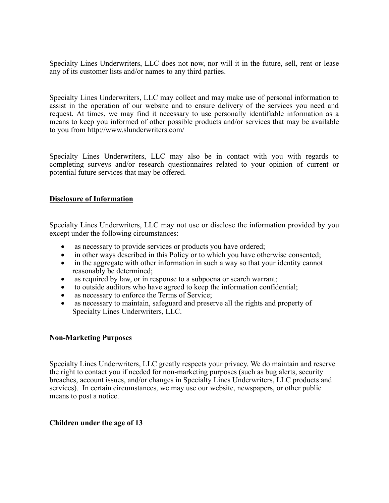Specialty Lines Underwriters, LLC does not now, nor will it in the future, sell, rent or lease any of its customer lists and/or names to any third parties.

Specialty Lines Underwriters, LLC may collect and may make use of personal information to assist in the operation of our website and to ensure delivery of the services you need and request. At times, we may find it necessary to use personally identifiable information as a means to keep you informed of other possible products and/or services that may be available to you from http://www.slunderwriters.com/

Specialty Lines Underwriters, LLC may also be in contact with you with regards to completing surveys and/or research questionnaires related to your opinion of current or potential future services that may be offered.

# **Disclosure of Information**

Specialty Lines Underwriters, LLC may not use or disclose the information provided by you except under the following circumstances:

- as necessary to provide services or products you have ordered;
- in other ways described in this Policy or to which you have otherwise consented;
- in the aggregate with other information in such a way so that your identity cannot reasonably be determined;
- as required by law, or in response to a subpoena or search warrant;
- to outside auditors who have agreed to keep the information confidential;
- as necessary to enforce the Terms of Service;
- as necessary to maintain, safeguard and preserve all the rights and property of Specialty Lines Underwriters, LLC.

# **Non-Marketing Purposes**

Specialty Lines Underwriters, LLC greatly respects your privacy. We do maintain and reserve the right to contact you if needed for non-marketing purposes (such as bug alerts, security breaches, account issues, and/or changes in Specialty Lines Underwriters, LLC products and services). In certain circumstances, we may use our website, newspapers, or other public means to post a notice.

# **Children under the age of 13**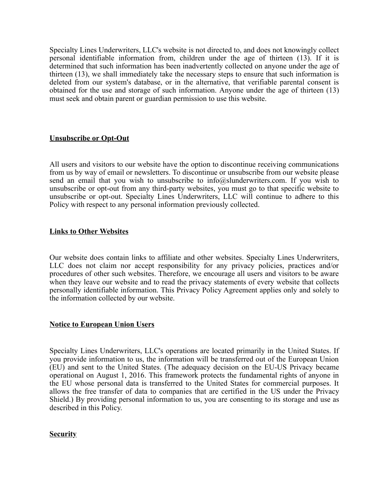Specialty Lines Underwriters, LLC's website is not directed to, and does not knowingly collect personal identifiable information from, children under the age of thirteen (13). If it is determined that such information has been inadvertently collected on anyone under the age of thirteen (13), we shall immediately take the necessary steps to ensure that such information is deleted from our system's database, or in the alternative, that verifiable parental consent is obtained for the use and storage of such information. Anyone under the age of thirteen (13) must seek and obtain parent or guardian permission to use this website.

# **Unsubscribe or Opt-Out**

All users and visitors to our website have the option to discontinue receiving communications from us by way of email or newsletters. To discontinue or unsubscribe from our website please send an email that you wish to unsubscribe to  $info@slunderwriters.com$ . If you wish to unsubscribe or opt-out from any third-party websites, you must go to that specific website to unsubscribe or opt-out. Specialty Lines Underwriters, LLC will continue to adhere to this Policy with respect to any personal information previously collected.

## **Links to Other Websites**

Our website does contain links to affiliate and other websites. Specialty Lines Underwriters, LLC does not claim nor accept responsibility for any privacy policies, practices and/or procedures of other such websites. Therefore, we encourage all users and visitors to be aware when they leave our website and to read the privacy statements of every website that collects personally identifiable information. This Privacy Policy Agreement applies only and solely to the information collected by our website.

### **Notice to European Union Users**

Specialty Lines Underwriters, LLC's operations are located primarily in the United States. If you provide information to us, the information will be transferred out of the European Union (EU) and sent to the United States. (The adequacy decision on the EU-US Privacy became operational on August 1, 2016. This framework protects the fundamental rights of anyone in the EU whose personal data is transferred to the United States for commercial purposes. It allows the free transfer of data to companies that are certified in the US under the Privacy Shield.) By providing personal information to us, you are consenting to its storage and use as described in this Policy.

# **Security**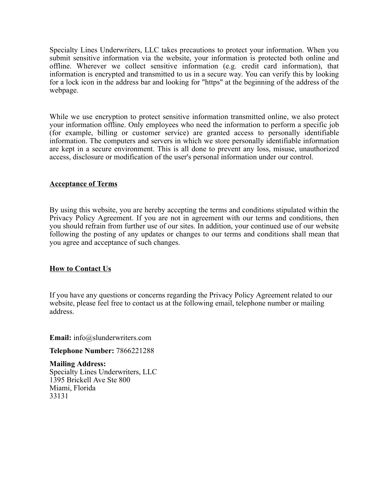Specialty Lines Underwriters, LLC takes precautions to protect your information. When you submit sensitive information via the website, your information is protected both online and offline. Wherever we collect sensitive information (e.g. credit card information), that information is encrypted and transmitted to us in a secure way. You can verify this by looking for a lock icon in the address bar and looking for "https" at the beginning of the address of the webpage.

While we use encryption to protect sensitive information transmitted online, we also protect your information offline. Only employees who need the information to perform a specific job (for example, billing or customer service) are granted access to personally identifiable information. The computers and servers in which we store personally identifiable information are kept in a secure environment. This is all done to prevent any loss, misuse, unauthorized access, disclosure or modification of the user's personal information under our control.

# **Acceptance of Terms**

By using this website, you are hereby accepting the terms and conditions stipulated within the Privacy Policy Agreement. If you are not in agreement with our terms and conditions, then you should refrain from further use of our sites. In addition, your continued use of our website following the posting of any updates or changes to our terms and conditions shall mean that you agree and acceptance of such changes.

# **How to Contact Us**

If you have any questions or concerns regarding the Privacy Policy Agreement related to our website, please feel free to contact us at the following email, telephone number or mailing address.

**Email:** info@slunderwriters.com

**Telephone Number:** 7866221288

**Mailing Address:** Specialty Lines Underwriters, LLC 1395 Brickell Ave Ste 800 Miami, Florida 33131